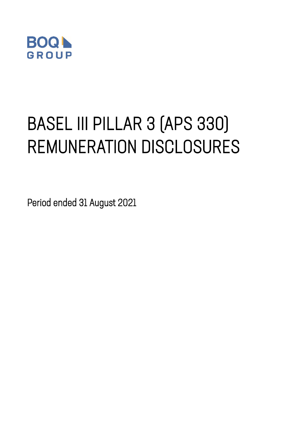

# BASEL III PILLAR 3 (APS 330) REMUNERATION DISCLOSURES

Period ended 31 August 2021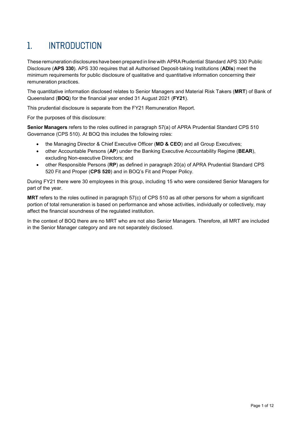# 1. INTRODUCTION

These remuneration disclosures have been prepared in line with APRAPrudential Standard APS 330 Public Disclosure (**APS 330**). APS 330 requires that all Authorised Deposit-taking Institutions (**ADIs**) meet the minimum requirements for public disclosure of qualitative and quantitative information concerning their remuneration practices.

The quantitative information disclosed relates to Senior Managers and Material Risk Takers (**MRT**) of Bank of Queensland (**BOQ**) for the financial year ended 31 August 2021 (**FY21**).

This prudential disclosure is separate from the FY21 Remuneration Report.

For the purposes of this disclosure:

**Senior Managers** refers to the roles outlined in paragraph 57(a) of APRA Prudential Standard CPS 510 Governance (CPS 510). At BOQ this includes the following roles:

- the Managing Director & Chief Executive Officer (**MD & CEO**) and all Group Executives;
- other Accountable Persons (**AP**) under the Banking Executive Accountability Regime (**BEAR**), excluding Non-executive Directors; and
- other Responsible Persons (**RP**) as defined in paragraph 20(a) of APRA Prudential Standard CPS 520 Fit and Proper (**CPS 520**) and in BOQ's Fit and Proper Policy.

During FY21 there were 30 employees in this group, including 15 who were considered Senior Managers for part of the year.

**MRT** refers to the roles outlined in paragraph 57(c) of CPS 510 as all other persons for whom a significant portion of total remuneration is based on performance and whose activities, individually or collectively, may affect the financial soundness of the regulated institution.

In the context of BOQ there are no MRT who are not also Senior Managers. Therefore, all MRT are included in the Senior Manager category and are not separately disclosed.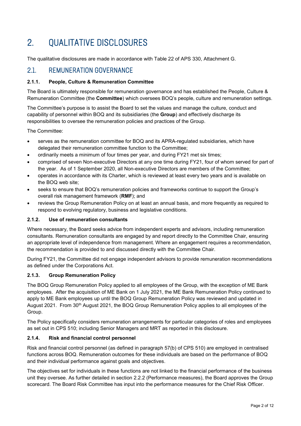# 2. QUALITATIVE DISCLOSURES

The qualitative disclosures are made in accordance with Table 22 of APS 330, Attachment G.

### 2.1. REMUNERATION GOVERNANCE

#### **2.1.1. People, Culture & Remuneration Committee**

The Board is ultimately responsible for remuneration governance and has established the People, Culture & Remuneration Committee (the **Committee**) which oversees BOQ's people, culture and remuneration settings.

The Committee's purpose is to assist the Board to set the values and manage the culture, conduct and capability of personnel within BOQ and its subsidiaries (the **Group**) and effectively discharge its responsibilities to oversee the remuneration policies and practices of the Group.

The Committee:

- serves as the remuneration committee for BOQ and its APRA-regulated subsidiaries, which have delegated their remuneration committee function to the Committee;
- ordinarily meets a minimum of four times per year, and during FY21 met six times;
- comprised of seven Non-executive Directors at any one time during FY21, four of whom served for part of the year. As of 1 September 2020, all Non-executive Directors are members of the Committee;
- operates in accordance with its Charter, which is reviewed at least every two years and is available on the BOQ web site;
- seeks to ensure that BOQ's remuneration policies and frameworks continue to support the Group's overall risk management framework (**RMF**); and
- reviews the Group Remuneration Policy on at least an annual basis, and more frequently as required to respond to evolving regulatory, business and legislative conditions.

#### **2.1.2. Use of remuneration consultants**

Where necessary, the Board seeks advice from independent experts and advisors, including remuneration consultants. Remuneration consultants are engaged by and report directly to the Committee Chair, ensuring an appropriate level of independence from management. Where an engagement requires a recommendation, the recommendation is provided to and discussed directly with the Committee Chair.

During FY21, the Committee did not engage independent advisors to provide remuneration recommendations as defined under the Corporations Act.

#### **2.1.3. Group Remuneration Policy**

The BOQ Group Remuneration Policy applied to all employees of the Group, with the exception of ME Bank employees. After the acquisition of ME Bank on 1 July 2021, the ME Bank Remuneration Policy continued to apply to ME Bank employees up until the BOQ Group Remuneration Policy was reviewed and updated in August 2021. From 30<sup>th</sup> August 2021, the BOQ Group Remuneration Policy applies to all employees of the Group.

The Policy specifically considers remuneration arrangements for particular categories of roles and employees as set out in CPS 510; including Senior Managers and MRT as reported in this disclosure.

#### **2.1.4. Risk and financial control personnel**

Risk and financial control personnel (as defined in paragraph 57(b) of CPS 510) are employed in centralised functions across BOQ. Remuneration outcomes for these individuals are based on the performance of BOQ and their individual performance against goals and objectives.

The objectives set for individuals in these functions are not linked to the financial performance of the business unit they oversee. As further detailed in section 2.2.2 (Performance measures), the Board approves the Group scorecard. The Board Risk Committee has input into the performance measures for the Chief Risk Officer.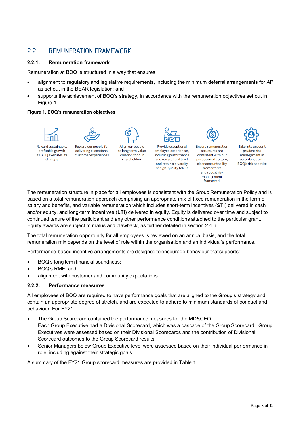## 2.2. REMUNERATION FRAMEWORK

#### **2.2.1. Remuneration framework**

Remuneration at BOQ is structured in a way that ensures:

- alignment to regulatory and legislative requirements, including the minimum deferral arrangements for AP as set out in the BEAR legislation; and
- supports the achievement of BOQ's strategy, in accordance with the remuneration objectives set out in Figure 1.

#### **Figure 1. BOQ's remuneration objectives**



The remuneration structure in place for all employees is consistent with the Group Remuneration Policy and is based on a total remuneration approach comprising an appropriate mix of fixed remuneration in the form of salary and benefits, and variable remuneration which includes short-term incentives (**STI**) delivered in cash and/or equity, and long-term incentives (**LTI**) delivered in equity. Equity is delivered over time and subject to continued tenure of the participant and any other performance conditions attached to the particular grant. Equity awards are subject to malus and clawback, as further detailed in section 2.4.6.

The total remuneration opportunity for all employees is reviewed on an annual basis, and the total remuneration mix depends on the level of role within the organisation and an individual's performance.

Performance-based incentive arrangements are designed to encourage behaviour thatsupports:

- BOQ's long term financial soundness;
- BOQ's RMF; and
- alignment with customer and community expectations.

#### **2.2.2. Performance measures**

All employees of BOQ are required to have performance goals that are aligned to the Group's strategy and contain an appropriate degree of stretch, and are expected to adhere to minimum standards of conduct and behaviour. For FY21:

- The Group Scorecard contained the performance measures for the MD&CEO. Each Group Executive had a Divisional Scorecard, which was a cascade of the Group Scorecard. Group Executives were assessed based on their Divisional Scorecards and the contribution of Divisional Scorecard outcomes to the Group Scorecard results.
- Senior Managers below Group Executive level were assessed based on their individual performance in role, including against their strategic goals.

A summary of the FY21 Group scorecard measures are provided in Table 1.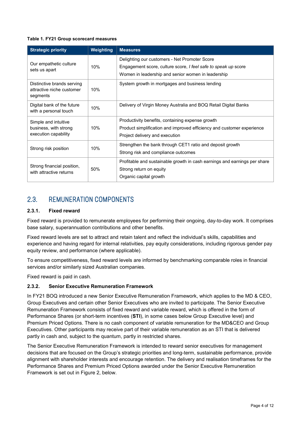#### **Table 1. FY21 Group scorecard measures**

| <b>Strategic priority</b>                                             | <b>Weighting</b> | <b>Measures</b>                                                                                                                                                       |
|-----------------------------------------------------------------------|------------------|-----------------------------------------------------------------------------------------------------------------------------------------------------------------------|
| Our empathetic culture<br>sets us apart                               | 10%              | Delighting our customers - Net Promoter Score<br>Engagement score, culture score, I feel safe to speak up score<br>Women in leadership and senior women in leadership |
| Distinctive brands serving<br>attractive niche customer<br>segments   | 10%              | System growth in mortgages and business lending                                                                                                                       |
| Digital bank of the future<br>with a personal touch                   | 10%              | Delivery of Virgin Money Australia and BOQ Retail Digital Banks                                                                                                       |
| Simple and intuitive<br>business, with strong<br>execution capability | 10%              | Productivity benefits, containing expense growth<br>Product simplification and improved efficiency and customer experience<br>Project delivery and execution          |
| Strong risk position                                                  | 10%              | Strengthen the bank through CET1 ratio and deposit growth<br>Strong risk and compliance outcomes                                                                      |
| Strong financial position,<br>with attractive returns                 | 50%              | Profitable and sustainable growth in cash earnings and earnings per share<br>Strong return on equity<br>Organic capital growth                                        |

## 2.3. REMUNERATION COMPONENTS

#### **2.3.1. Fixed reward**

Fixed reward is provided to remunerate employees for performing their ongoing, day-to-day work. It comprises base salary, superannuation contributions and other benefits.

Fixed reward levels are set to attract and retain talent and reflect the individual's skills, capabilities and experience and having regard for internal relativities, pay equity considerations, including rigorous gender pay equity review, and performance (where applicable).

To ensure competitiveness, fixed reward levels are informed by benchmarking comparable roles in financial services and/or similarly sized Australian companies.

Fixed reward is paid in cash.

#### **2.3.2. Senior Executive Remuneration Framework**

In FY21 BOQ introduced a new Senior Executive Remuneration Framework, which applies to the MD & CEO, Group Executives and certain other Senior Executives who are invited to participate. The Senior Executive Remuneration Framework consists of fixed reward and variable reward, which is offered in the form of Performance Shares (or short-term incentives (**STI**), in some cases below Group Executive level) and Premium Priced Options. There is no cash component of variable remuneration for the MD&CEO and Group Executives. Other participants may receive part of their variable remuneration as an STI that is delivered partly in cash and, subject to the quantum, partly in restricted shares.

The Senior Executive Remuneration Framework is intended to reward senior executives for management decisions that are focused on the Group's strategic priorities and long-term, sustainable performance, provide alignment with shareholder interests and encourage retention. The delivery and realisation timeframes for the Performance Shares and Premium Priced Options awarded under the Senior Executive Remuneration Framework is set out in Figure 2, below.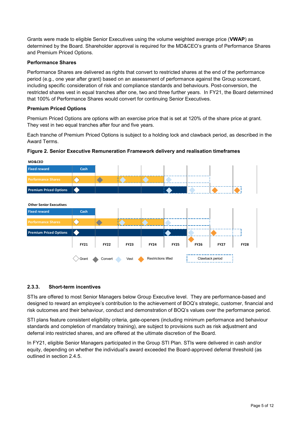Grants were made to eligible Senior Executives using the volume weighted average price (**VWAP**) as determined by the Board. Shareholder approval is required for the MD&CEO's grants of Performance Shares and Premium Priced Options.

#### **Performance Shares**

Performance Shares are delivered as rights that convert to restricted shares at the end of the performance period (e.g., one year after grant) based on an assessment of performance against the Group scorecard, including specific consideration of risk and compliance standards and behaviours. Post-conversion, the restricted shares vest in equal tranches after one, two and three further years. In FY21, the Board determined that 100% of Performance Shares would convert for continuing Senior Executives.

#### **Premium Priced Options**

Premium Priced Options are options with an exercise price that is set at 120% of the share price at grant. They vest in two equal tranches after four and five years.

Each tranche of Premium Priced Options is subject to a holding lock and clawback period, as described in the Award Terms.





#### **2.3.3. Short-term incentives**

STIs are offered to most Senior Managers below Group Executive level. They are performance-based and designed to reward an employee's contribution to the achievement of BOQ's strategic, customer, financial and risk outcomes and their behaviour, conduct and demonstration of BOQ's values over the performance period.

STI plans feature consistent eligibility criteria, gate-openers (including minimum performance and behaviour standards and completion of mandatory training), are subject to provisions such as risk adjustment and deferral into restricted shares, and are offered at the ultimate discretion of the Board.

In FY21, eligible Senior Managers participated in the Group STI Plan. STIs were delivered in cash and/or equity, depending on whether the individual's award exceeded the Board-approved deferral threshold (as outlined in section 2.4.5.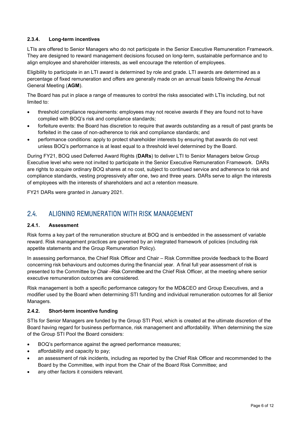#### **2.3.4. Long-term incentives**

LTIs are offered to Senior Managers who do not participate in the Senior Executive Remuneration Framework. They are designed to reward management decisions focused on long-term, sustainable performance and to align employee and shareholder interests, as well encourage the retention of employees.

Eligibility to participate in an LTI award is determined by role and grade. LTI awards are determined as a percentage of fixed remuneration and offers are generally made on an annual basis following the Annual General Meeting (**AGM**).

The Board has put in place a range of measures to control the risks associated with LTIs including, but not limited to:

- threshold compliance requirements: employees may not receive awards if they are found not to have complied with BOQ's risk and compliance standards;
- forfeiture events: the Board has discretion to require that awards outstanding as a result of past grants be forfeited in the case of non-adherence to risk and compliance standards; and
- performance conditions: apply to protect shareholder interests by ensuring that awards do not vest unless BOQ's performance is at least equal to a threshold level determined by the Board.

During FY21, BOQ used Deferred Award Rights (**DARs**) to deliver LTI to Senior Managers below Group Executive level who were not invited to participate in the Senior Executive Remuneration Framework. DARs are rights to acquire ordinary BOQ shares at no cost, subject to continued service and adherence to risk and compliance standards, vesting progressively after one, two and three years. DARs serve to align the interests of employees with the interests of shareholders and act a retention measure.

FY21 DARs were granted in January 2021.

## 2.4. ALIGNING REMUNERATION WITH RISK MANAGEMENT

#### **2.4.1. Assessment**

Risk forms a key part of the remuneration structure at BOQ and is embedded in the assessment of variable reward. Risk management practices are governed by an integrated framework of policies (including risk appetite statements and the Group Remuneration Policy).

In assessing performance, the Chief Risk Officer and Chair – Risk Committee provide feedback to the Board concerning risk behaviours and outcomes during the financial year. A final full year assessment of risk is presented to the Committee by Chair –Risk Committee and the Chief Risk Officer, at the meeting where senior executive remuneration outcomes are considered.

Risk management is both a specific performance category for the MD&CEO and Group Executives, and a modifier used by the Board when determining STI funding and individual remuneration outcomes for all Senior Managers.

#### **2.4.2. Short-term incentive funding**

STIs for Senior Managers are funded by the Group STI Pool, which is created at the ultimate discretion of the Board having regard for business performance, risk management and affordability. When determining the size of the Group STI Pool the Board considers:

- BOQ's performance against the agreed performance measures;
- affordability and capacity to pay;
- an assessment of risk incidents, including as reported by the Chief Risk Officer and recommended to the Board by the Committee, with input from the Chair of the Board Risk Committee; and
- any other factors it considers relevant.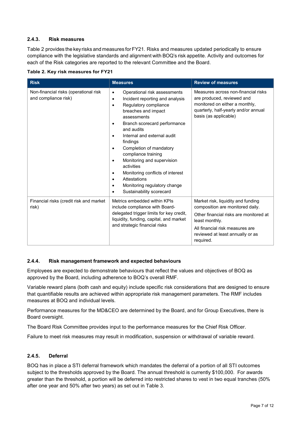#### **2.4.3. Risk measures**

Table 2 provides the keyrisks and measures forFY21. Risks and measures updated periodically to ensure compliance with the legislative standards and alignment with BOQ's risk appetite. Activity and outcomes for each of the Risk categories are reported to the relevant Committee and the Board.

|  |  |  | Table 2. Key risk measures for FY21 |  |  |
|--|--|--|-------------------------------------|--|--|
|--|--|--|-------------------------------------|--|--|

| <b>Risk</b>                                                   | <b>Measures</b>                                                                                                                                                                                                                                                                                                                                                                                                                                                                                                                                    | <b>Review of measures</b>                                                                                                                                                                                              |  |  |
|---------------------------------------------------------------|----------------------------------------------------------------------------------------------------------------------------------------------------------------------------------------------------------------------------------------------------------------------------------------------------------------------------------------------------------------------------------------------------------------------------------------------------------------------------------------------------------------------------------------------------|------------------------------------------------------------------------------------------------------------------------------------------------------------------------------------------------------------------------|--|--|
| Non-financial risks (operational risk<br>and compliance risk) | Operational risk assessments<br>$\bullet$<br>Incident reporting and analysis<br>$\bullet$<br>Regulatory compliance<br>$\bullet$<br>breaches and impact<br>assessments<br>Branch scorecard performance<br>$\bullet$<br>and audits<br>Internal and external audit<br>findings<br>Completion of mandatory<br>$\bullet$<br>compliance training<br>Monitoring and supervision<br>$\bullet$<br>activities<br>Monitoring conflicts of interest<br>$\bullet$<br>Attestations<br>$\bullet$<br>Monitoring regulatory change<br>٠<br>Sustainability scorecard | Measures across non-financial risks<br>are produced, reviewed and<br>monitored on either a monthly,<br>quarterly, half-yearly and/or annual<br>basis (as applicable)                                                   |  |  |
| Financial risks (credit risk and market<br>risk)              | Metrics embedded within KPIs<br>include compliance with Board-<br>delegated trigger limits for key credit,<br>liquidity, funding, capital, and market<br>and strategic financial risks                                                                                                                                                                                                                                                                                                                                                             | Market risk, liquidity and funding<br>composition are monitored daily.<br>Other financial risks are monitored at<br>least monthly.<br>All financial risk measures are<br>reviewed at least annually or as<br>required. |  |  |

#### **2.4.4. Risk management framework and expected behaviours**

Employees are expected to demonstrate behaviours that reflect the values and objectives of BOQ as approved by the Board, including adherence to BOQ's overall RMF.

Variable reward plans (both cash and equity) include specific risk considerations that are designed to ensure that quantifiable results are achieved within appropriate risk management parameters. The RMF includes measures at BOQ and individual levels.

Performance measures for the MD&CEO are determined by the Board, and for Group Executives, there is Board oversight.

The Board Risk Committee provides input to the performance measures for the Chief Risk Officer.

Failure to meet risk measures may result in modification, suspension or withdrawal of variable reward.

#### **2.4.5. Deferral**

BOQ has in place a STI deferral framework which mandates the deferral of a portion of all STI outcomes subject to the thresholds approved by the Board. The annual threshold is currently \$100,000. For awards greater than the threshold, a portion will be deferred into restricted shares to vest in two equal tranches (50% after one year and 50% after two years) as set out in Table 3.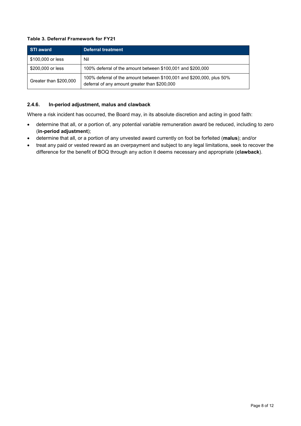#### **Table 3. Deferral Framework for FY21**

| STI award              | Deferral treatment                                                                                                     |
|------------------------|------------------------------------------------------------------------------------------------------------------------|
| \$100,000 or less      | Nil                                                                                                                    |
| \$200,000 or less      | 100% deferral of the amount between \$100,001 and \$200,000                                                            |
| Greater than \$200,000 | 100% deferral of the amount between \$100,001 and \$200,000, plus 50%<br>deferral of any amount greater than \$200,000 |

#### **2.4.6. In-period adjustment, malus and clawback**

Where a risk incident has occurred, the Board may, in its absolute discretion and acting in good faith:

- determine that all, or a portion of, any potential variable remuneration award be reduced, including to zero (**in-period adjustment**);
- determine that all, or a portion of any unvested award currently on foot be forfeited (**malus**); and/or
- treat any paid or vested reward as an overpayment and subject to any legal limitations, seek to recover the difference for the benefit of BOQ through any action it deems necessary and appropriate (**clawback**).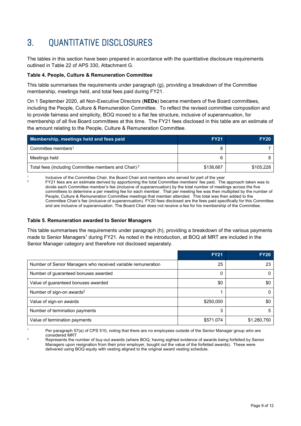# 3. QUANTITATIVE DISCLOSURES

The tables in this section have been prepared in accordance with the quantitative disclosure requirements outlined in Table 22 of APS 330, Attachment G.

#### **Table 4. People, Culture & Remuneration Committee**

This table summarises the requirements under paragraph (g), providing a breakdown of the Committee membership, meetings held, and total fees paid during FY21.

On 1 September 2020, all Non-Executive Directors (**NEDs**) became members of five Board committees, including the People, Culture & Remuneration Committee. To reflect the revised committee composition and to provide fairness and simplicity, BOQ moved to a flat fee structure, inclusive of superannuation, for membership of all five Board committees at this time. The FY21 fees disclosed in this table are an estimate of the amount relating to the People, Culture & Remuneration Committee.

| Membership, meetings held and fees paid                         | <b>FY21</b> | <b>FY20</b> |
|-----------------------------------------------------------------|-------------|-------------|
| Committee members <sup>1</sup>                                  |             |             |
| Meetings held                                                   |             |             |
| Total fees (including Committee members and Chair) <sup>2</sup> | \$136.667   | \$105.228   |

1 Inclusive of the Committee Chair, the Board Chair and members who served for part of the year

<sup>2</sup> FY21 fees are an estimate derived by apportioning the total Committee members' fee paid. The approach taken was to divide each Committee member's fee (inclusive of superannuation) by the total number of meetings across the five committees to determine a per meeting fee for each member. That per meeting fee was then multiplied by the number of People, Culture & Remuneration Committee meetings that member attended. This total was then added to the Committee Chair's fee (inclusive of superannuation). FY20 fees disclosed are the fees paid specifically for this Committee and are inclusive of superannuation. The Board Chair does not receive a fee for his membership of the Committee.

#### **Table 5. Remuneration awarded to Senior Managers**

This table summarises the requirements under paragraph (h), providing a breakdown of the various payments made to Senior Managers<sup>1</sup> during FY21. As noted in the introduction, at BOQ all MRT are included in the Senior Manager category and therefore not disclosed separately.

|                                                              | <b>FY21</b> | <b>FY20</b> |
|--------------------------------------------------------------|-------------|-------------|
| Number of Senior Managers who received variable remuneration | 25          | 23          |
| Number of guaranteed bonuses awarded                         | 0           |             |
| Value of guaranteed bonuses awarded                          | \$0         | \$0         |
| Number of sign-on awards <sup>2</sup>                        |             |             |
| Value of sign-on awards                                      | \$250,000   | \$0         |
| Number of termination payments                               | 3           | 5           |
| Value of termination payments                                | \$571.074   | \$1,280,750 |

Per paragraph 57(a) of CPS 510, noting that there are no employees outside of the Senior Manager group who are considered MRT

<sup>2</sup> Represents the number of buy-out awards (where BOQ, having sighted evidence of awards being forfeited by Senior Managers upon resignation from their prior employer, bought out the value of the forfeited awards). These were delivered using BOQ equity with vesting aligned to the original award vesting schedule.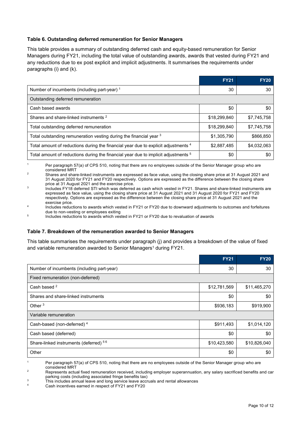#### **Table 6. Outstanding deferred remuneration for Senior Managers**

This table provides a summary of outstanding deferred cash and equity-based remuneration for Senior Managers during FY21, including the total value of outstanding awards, awards that vested during FY21 and any reductions due to ex post explicit and implicit adjustments. It summarises the requirements under paragraphs (i) and (k).

|                                                                                               | <b>FY21</b>  | <b>FY20</b> |
|-----------------------------------------------------------------------------------------------|--------------|-------------|
| Number of incumbents (including part-year) <sup>1</sup>                                       | 30           | 30          |
| Outstanding deferred remuneration                                                             |              |             |
| Cash based awards                                                                             | \$0          | \$0         |
| Shares and share-linked instruments <sup>2</sup>                                              | \$18,299,840 | \$7,745,758 |
| Total outstanding deferred remuneration                                                       | \$18,299,840 | \$7,745,758 |
| Total outstanding remuneration vesting during the financial year 3                            | \$1,305,790  | \$866,850   |
| Total amount of reductions during the financial year due to explicit adjustments 4            | \$2,887,485  | \$4,032,063 |
| Total amount of reductions during the financial year due to implicit adjustments <sup>5</sup> | \$0          | \$0         |

<sup>1</sup> Per paragraph 57(a) of CPS 510, noting that there are no employees outside of the Senior Manager group who are considered MRT

<sup>2</sup> Shares and share-linked instruments are expressed as face value, using the closing share price at 31 August 2021 and 31 August 2020 for FY21 and FY20 respectively. Options are expressed as the difference between the closing share price at 31 August 2021 and the exercise price.

3 Includes FY18 deferred STI which was deferred as cash which vested in FY21. Shares and share-linked instruments are expressed as face value, using the closing share price at 31 August 2021 and 31 August 2020 for FY21 and FY20 respectively. Options are expressed as the difference between the closing share price at 31 August 2021 and the exercise price.

<sup>4</sup> Includes reductions to awards which vested in FY21 or FY20 due to downward adjustments to outcomes and forfeitures due to non-vesting or employees exiting

<sup>5</sup> Includes reductions to awards which vested in FY21 or FY20 due to revaluation of awards

#### **Table 7. Breakdown of the remuneration awarded to Senior Managers**

This table summarises the requirements under paragraph (j) and provides a breakdown of the value of fixed and variable remuneration awarded to Senior Managers<sup>1</sup> during FY21.

|                                                   | <b>FY21</b>  | <b>FY20</b>  |  |
|---------------------------------------------------|--------------|--------------|--|
| Number of incumbents (including part-year)        | 30           | 30           |  |
| Fixed remuneration (non-deferred)                 |              |              |  |
| Cash based <sup>2</sup>                           | \$12,781,569 | \$11,465,270 |  |
| Shares and share-linked instruments               | \$0          | \$0          |  |
| Other $3$                                         | \$936,183    | \$919,900    |  |
| Variable remuneration                             |              |              |  |
| Cash-based (non-deferred) <sup>4</sup>            | \$911,493    | \$1,014,120  |  |
| Cash based (deferred)                             | \$0          | \$0          |  |
| Share-linked instruments (deferred) <sup>56</sup> | \$10,423,580 | \$10,826,040 |  |
| Other                                             | \$0          | \$0          |  |

Per paragraph 57(a) of CPS 510, noting that there are no employees outside of the Senior Manager group who are considered MRT

<sup>3</sup> This includes annual leave and long service leave accruals and rental allowances

 $2 \text{3}$  Represents actual fixed remuneration received, including employer superannuation, any salary sacrificed benefits and car parking costs (including associated fringe benefits tax)

Cash incentives earned in respect of FY21 and FY20